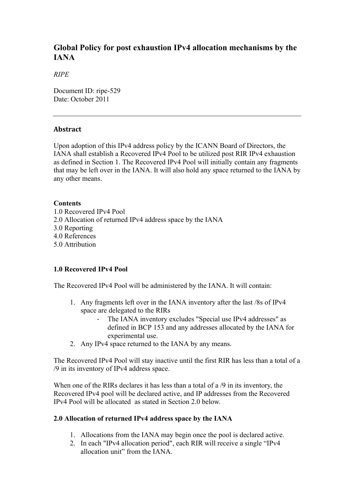# **Global Policy for post exhaustion IPv4 allocation mechanisms by the IANA**

### *RIPE*

Document ID: ripe-529 Date: October 2011

### **Abstract**

Upon adoption of this IPv4 address policy by the ICANN Board of Directors, the IANA shall establish a Recovered IPv4 Pool to be utilized post RIR IPv4 exhaustion as defined in Section 1. The Recovered IPv4 Pool will initially contain any fragments that may be left over in the IANA. It will also hold any space returned to the IANA by any other means.

### **Contents**

1.0 Recovered IPv4 Pool 2.0 Allocation of returned IPv4 address space by the IANA 3.0 Reporting 4.0 References 5.0 Attribution

## **1.0 Recovered IPv4 Pool**

The Recovered IPv4 Pool will be administered by the IANA. It will contain:

- 1. Any fragments left over in the IANA inventory after the last /8s of IPv4 space are delegated to the RIRs
	- The IANA inventory excludes "Special use IPv4 addresses" as defined in BCP 153 and any addresses allocated by the IANA for experimental use.
- 2. Any IPv4 space returned to the IANA by any means.

The Recovered IPv4 Pool will stay inactive until the first RIR has less than a total of a /9 in its inventory of IPv4 address space.

When one of the RIRs declares it has less than a total of a /9 in its inventory, the Recovered IPv4 pool will be declared active, and IP addresses from the Recovered IPv4 Pool will be allocated as stated in Section 2.0 below.

## **2.0 Allocation of returned IPv4 address space by the IANA**

- 1. Allocations from the IANA may begin once the pool is declared active.
- 2. In each "IPv4 allocation period", each RIR will receive a single "IPv4 allocation unit" from the IANA.